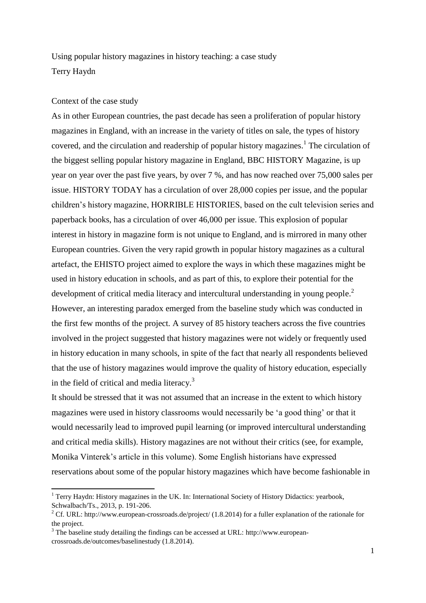Using popular history magazines in history teaching: a case study Terry Haydn

## Context of the case study

**.** 

As in other European countries, the past decade has seen a proliferation of popular history magazines in England, with an increase in the variety of titles on sale, the types of history covered, and the circulation and readership of popular history magazines.<sup>1</sup> The circulation of the biggest selling popular history magazine in England, BBC HISTORY Magazine, is up year on year over the past five years, by over 7 %, and has now reached over 75,000 sales per issue. HISTORY TODAY has a circulation of over 28,000 copies per issue, and the popular children's history magazine, HORRIBLE HISTORIES, based on the cult television series and paperback books, has a circulation of over 46,000 per issue. This explosion of popular interest in history in magazine form is not unique to England, and is mirrored in many other European countries. Given the very rapid growth in popular history magazines as a cultural artefact, the EHISTO project aimed to explore the ways in which these magazines might be used in history education in schools, and as part of this, to explore their potential for the development of critical media literacy and intercultural understanding in young people.<sup>2</sup> However, an interesting paradox emerged from the baseline study which was conducted in the first few months of the project. A survey of 85 history teachers across the five countries involved in the project suggested that history magazines were not widely or frequently used in history education in many schools, in spite of the fact that nearly all respondents believed that the use of history magazines would improve the quality of history education, especially in the field of critical and media literacy.<sup>3</sup>

It should be stressed that it was not assumed that an increase in the extent to which history magazines were used in history classrooms would necessarily be 'a good thing' or that it would necessarily lead to improved pupil learning (or improved intercultural understanding and critical media skills). History magazines are not without their critics (see, for example, Monika Vinterek's article in this volume). Some English historians have expressed reservations about some of the popular history magazines which have become fashionable in

<sup>&</sup>lt;sup>1</sup> Terry Haydn: History magazines in the UK. In: International Society of History Didactics: yearbook, Schwalbach/Ts., 2013, p. 191-206.

<sup>&</sup>lt;sup>2</sup> Cf. URL:<http://www.european-crossroads.de/project/> (1.8.2014) for a fuller explanation of the rationale for the project.

 $3$  The baseline study detailing the findings can be accessed at URL: [http://www.european](http://www.european-crossroads.de/outcomes/baselinestudy)[crossroads.de/outcomes/baselinestudy](http://www.european-crossroads.de/outcomes/baselinestudy) (1.8.2014).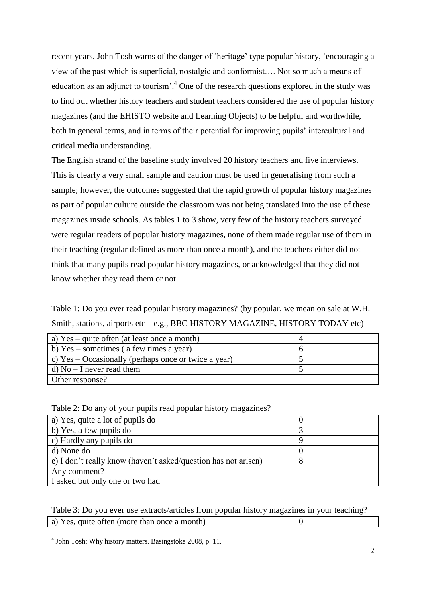recent years. John Tosh warns of the danger of 'heritage' type popular history, 'encouraging a view of the past which is superficial, nostalgic and conformist…. Not so much a means of education as an adjunct to tourism'.<sup>4</sup> One of the research questions explored in the study was to find out whether history teachers and student teachers considered the use of popular history magazines (and the EHISTO website and Learning Objects) to be helpful and worthwhile, both in general terms, and in terms of their potential for improving pupils' intercultural and critical media understanding.

The English strand of the baseline study involved 20 history teachers and five interviews. This is clearly a very small sample and caution must be used in generalising from such a sample; however, the outcomes suggested that the rapid growth of popular history magazines as part of popular culture outside the classroom was not being translated into the use of these magazines inside schools. As tables 1 to 3 show, very few of the history teachers surveyed were regular readers of popular history magazines, none of them made regular use of them in their teaching (regular defined as more than once a month), and the teachers either did not think that many pupils read popular history magazines, or acknowledged that they did not know whether they read them or not.

Table 1: Do you ever read popular history magazines? (by popular, we mean on sale at W.H. Smith, stations, airports etc – e.g., BBC HISTORY MAGAZINE, HISTORY TODAY etc)

| a) $Yes - quite often (at least once a month)$         |  |
|--------------------------------------------------------|--|
| b) $Yes$ – sometimes (a few times a year)              |  |
| c) $Yes - Occasionally$ (perhaps once or twice a year) |  |
| d) $No - I$ never read them                            |  |
| Other response?                                        |  |

| Table 2: Do any of your pupils read popular history magazines? |
|----------------------------------------------------------------|
|----------------------------------------------------------------|

| a) Yes, quite a lot of pupils do                               |  |
|----------------------------------------------------------------|--|
| b) Yes, a few pupils do                                        |  |
| c) Hardly any pupils do                                        |  |
| d) None do                                                     |  |
| e) I don't really know (haven't asked/question has not arisen) |  |
| Any comment?                                                   |  |
| I asked but only one or two had                                |  |

Table 3: Do you ever use extracts/articles from popular history magazines in your teaching? a) Yes, quite often (more than once a month)  $\boxed{0}$ 

4 John Tosh: Why history matters. Basingstoke 2008, p. 11.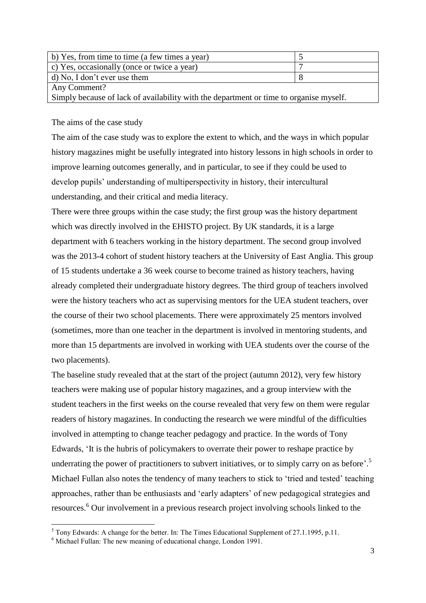| b) Yes, from time to time (a few times a year)                                         |  |
|----------------------------------------------------------------------------------------|--|
| c) Yes, occasionally (once or twice a year)                                            |  |
| d) No, I don't ever use them                                                           |  |
| Any Comment?                                                                           |  |
| Simply because of lack of availability with the department or time to organise myself. |  |
|                                                                                        |  |

The aims of the case study

The aim of the case study was to explore the extent to which, and the ways in which popular history magazines might be usefully integrated into history lessons in high schools in order to improve learning outcomes generally, and in particular, to see if they could be used to develop pupils' understanding of multiperspectivity in history, their intercultural understanding, and their critical and media literacy.

There were three groups within the case study; the first group was the history department which was directly involved in the EHISTO project. By UK standards, it is a large department with 6 teachers working in the history department. The second group involved was the 2013-4 cohort of student history teachers at the University of East Anglia. This group of 15 students undertake a 36 week course to become trained as history teachers, having already completed their undergraduate history degrees. The third group of teachers involved were the history teachers who act as supervising mentors for the UEA student teachers, over the course of their two school placements. There were approximately 25 mentors involved (sometimes, more than one teacher in the department is involved in mentoring students, and more than 15 departments are involved in working with UEA students over the course of the two placements).

The baseline study revealed that at the start of the project (autumn 2012), very few history teachers were making use of popular history magazines, and a group interview with the student teachers in the first weeks on the course revealed that very few on them were regular readers of history magazines. In conducting the research we were mindful of the difficulties involved in attempting to change teacher pedagogy and practice. In the words of Tony Edwards, 'It is the hubris of policymakers to overrate their power to reshape practice by underrating the power of practitioners to subvert initiatives, or to simply carry on as before'.<sup>5</sup> Michael Fullan also notes the tendency of many teachers to stick to 'tried and tested' teaching approaches, rather than be enthusiasts and 'early adapters' of new pedagogical strategies and resources.<sup>6</sup> Our involvement in a previous research project involving schools linked to the

**.** 

 $<sup>5</sup>$  Tony Edwards: A change for the better. In: The Times Educational Supplement of 27.1.1995, p.11.</sup>

<sup>6</sup> Michael Fullan: The new meaning of educational change, London 1991.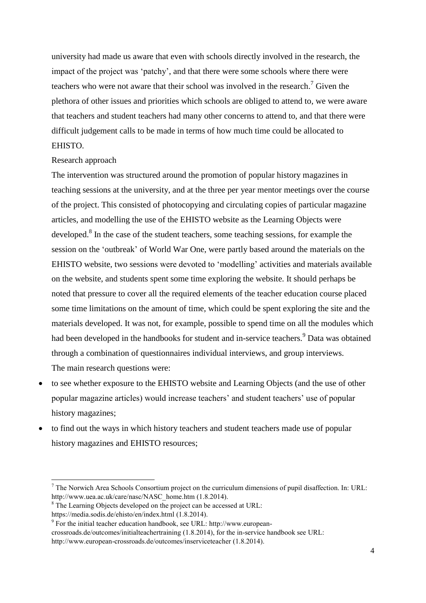university had made us aware that even with schools directly involved in the research, the impact of the project was 'patchy', and that there were some schools where there were teachers who were not aware that their school was involved in the research.<sup>7</sup> Given the plethora of other issues and priorities which schools are obliged to attend to, we were aware that teachers and student teachers had many other concerns to attend to, and that there were difficult judgement calls to be made in terms of how much time could be allocated to EHISTO.

## Research approach

The intervention was structured around the promotion of popular history magazines in teaching sessions at the university, and at the three per year mentor meetings over the course of the project. This consisted of photocopying and circulating copies of particular magazine articles, and modelling the use of the EHISTO website as the Learning Objects were developed.<sup>8</sup> In the case of the student teachers, some teaching sessions, for example the session on the 'outbreak' of World War One, were partly based around the materials on the EHISTO website, two sessions were devoted to 'modelling' activities and materials available on the website, and students spent some time exploring the website. It should perhaps be noted that pressure to cover all the required elements of the teacher education course placed some time limitations on the amount of time, which could be spent exploring the site and the materials developed. It was not, for example, possible to spend time on all the modules which had been developed in the handbooks for student and in-service teachers.<sup>9</sup> Data was obtained through a combination of questionnaires individual interviews, and group interviews. The main research questions were:

- to see whether exposure to the EHISTO website and Learning Objects (and the use of other popular magazine articles) would increase teachers' and student teachers' use of popular history magazines;
- to find out the ways in which history teachers and student teachers made use of popular history magazines and EHISTO resources;

 $\overline{a}$ 

[crossroads.de/outcomes/initialteachertraining](http://www.european-crossroads.de/outcomes/initialteachertraining) (1.8.2014), for the in-service handbook see URL:

<sup>7</sup> The Norwich Area Schools Consortium project on the curriculum dimensions of pupil disaffection. In: URL: [http://www.uea.ac.uk/care/nasc/NASC\\_home.htm](http://www.uea.ac.uk/care/nasc/NASC_home.htm) (1.8.2014).

<sup>&</sup>lt;sup>8</sup> The Learning Objects developed on the project can be accessed at URL:

<https://media.sodis.de/ehisto/en/index.html> (1.8.2014).

<sup>9</sup> For the initial teacher education handbook, see URL: [http://www.european-](http://www.european-crossroads.de/outcomes/initialteachertraining)

<http://www.european-crossroads.de/outcomes/inserviceteacher> (1.8.2014).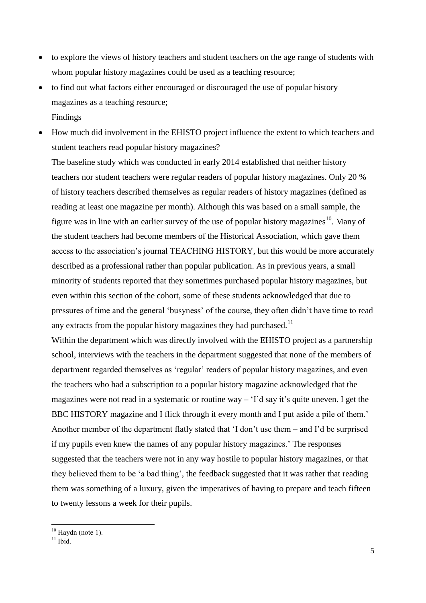- to explore the views of history teachers and student teachers on the age range of students with whom popular history magazines could be used as a teaching resource;
- to find out what factors either encouraged or discouraged the use of popular history magazines as a teaching resource; Findings
- How much did involvement in the EHISTO project influence the extent to which teachers and student teachers read popular history magazines?

The baseline study which was conducted in early 2014 established that neither history teachers nor student teachers were regular readers of popular history magazines. Only 20 % of history teachers described themselves as regular readers of history magazines (defined as reading at least one magazine per month). Although this was based on a small sample, the figure was in line with an earlier survey of the use of popular history magazines<sup>10</sup>. Many of the student teachers had become members of the Historical Association, which gave them access to the association's journal TEACHING HISTORY*,* but this would be more accurately described as a professional rather than popular publication. As in previous years, a small minority of students reported that they sometimes purchased popular history magazines, but even within this section of the cohort, some of these students acknowledged that due to pressures of time and the general 'busyness' of the course, they often didn't have time to read any extracts from the popular history magazines they had purchased.<sup>11</sup>

Within the department which was directly involved with the EHISTO project as a partnership school, interviews with the teachers in the department suggested that none of the members of department regarded themselves as 'regular' readers of popular history magazines, and even the teachers who had a subscription to a popular history magazine acknowledged that the magazines were not read in a systematic or routine way – 'I'd say it's quite uneven. I get the BBC HISTORY magazine and I flick through it every month and I put aside a pile of them.' Another member of the department flatly stated that 'I don't use them – and I'd be surprised if my pupils even knew the names of any popular history magazines.' The responses suggested that the teachers were not in any way hostile to popular history magazines, or that they believed them to be 'a bad thing', the feedback suggested that it was rather that reading them was something of a luxury, given the imperatives of having to prepare and teach fifteen to twenty lessons a week for their pupils.

**.** 

 $10$  Haydn (note 1).

 $11$  Ibid.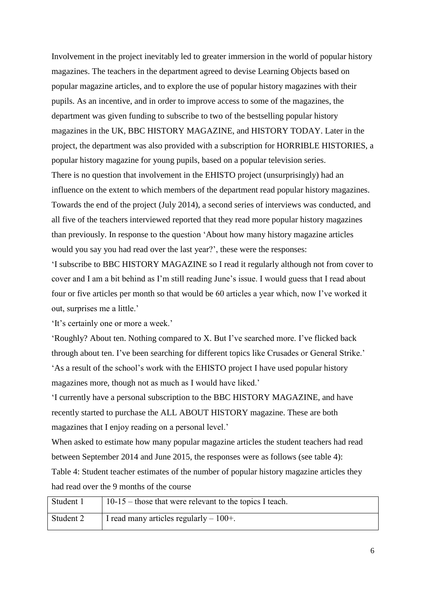Involvement in the project inevitably led to greater immersion in the world of popular history magazines. The teachers in the department agreed to devise Learning Objects based on popular magazine articles, and to explore the use of popular history magazines with their pupils. As an incentive, and in order to improve access to some of the magazines, the department was given funding to subscribe to two of the bestselling popular history magazines in the UK, BBC HISTORY MAGAZINE, and HISTORY TODAY. Later in the project, the department was also provided with a subscription for HORRIBLE HISTORIES, a popular history magazine for young pupils, based on a popular television series. There is no question that involvement in the EHISTO project (unsurprisingly) had an influence on the extent to which members of the department read popular history magazines. Towards the end of the project (July 2014), a second series of interviews was conducted, and all five of the teachers interviewed reported that they read more popular history magazines than previously. In response to the question 'About how many history magazine articles would you say you had read over the last year?', these were the responses:

'I subscribe to BBC HISTORY MAGAZINE so I read it regularly although not from cover to cover and I am a bit behind as I'm still reading June's issue. I would guess that I read about four or five articles per month so that would be 60 articles a year which, now I've worked it out, surprises me a little.'

'It's certainly one or more a week.'

'Roughly? About ten. Nothing compared to X. But I've searched more. I've flicked back through about ten. I've been searching for different topics like Crusades or General Strike.' 'As a result of the school's work with the EHISTO project I have used popular history magazines more, though not as much as I would have liked.'

'I currently have a personal subscription to the BBC HISTORY MAGAZINE, and have recently started to purchase the ALL ABOUT HISTORY magazine. These are both magazines that I enjoy reading on a personal level.'

When asked to estimate how many popular magazine articles the student teachers had read between September 2014 and June 2015, the responses were as follows (see table 4): Table 4: Student teacher estimates of the number of popular history magazine articles they had read over the 9 months of the course

| Student 1 | $10-15$ – those that were relevant to the topics I teach. |
|-----------|-----------------------------------------------------------|
| Student 2 | I read many articles regularly $-100+$ .                  |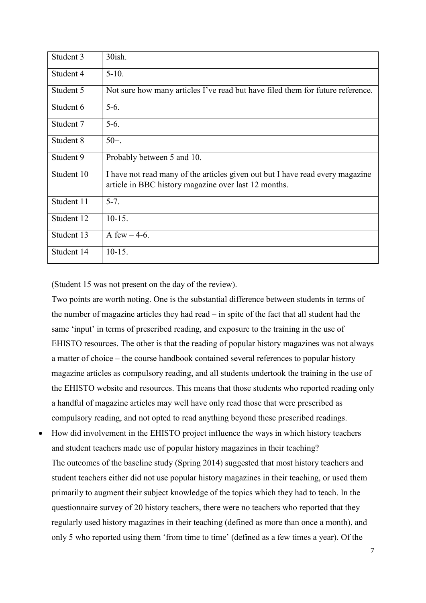| Student 3  | 30ish.                                                                                                                                |
|------------|---------------------------------------------------------------------------------------------------------------------------------------|
| Student 4  | $5-10.$                                                                                                                               |
| Student 5  | Not sure how many articles I've read but have filed them for future reference.                                                        |
| Student 6  | $5-6.$                                                                                                                                |
| Student 7  | $5-6.$                                                                                                                                |
| Student 8  | $50+$ .                                                                                                                               |
| Student 9  | Probably between 5 and 10.                                                                                                            |
| Student 10 | I have not read many of the articles given out but I have read every magazine<br>article in BBC history magazine over last 12 months. |
| Student 11 | $5 - 7$ .                                                                                                                             |
| Student 12 | $10-15.$                                                                                                                              |
| Student 13 | A few $-4-6$ .                                                                                                                        |
| Student 14 | $10-15.$                                                                                                                              |

(Student 15 was not present on the day of the review).

Two points are worth noting. One is the substantial difference between students in terms of the number of magazine articles they had read – in spite of the fact that all student had the same 'input' in terms of prescribed reading, and exposure to the training in the use of EHISTO resources. The other is that the reading of popular history magazines was not always a matter of choice – the course handbook contained several references to popular history magazine articles as compulsory reading, and all students undertook the training in the use of the EHISTO website and resources. This means that those students who reported reading only a handful of magazine articles may well have only read those that were prescribed as compulsory reading, and not opted to read anything beyond these prescribed readings.

 How did involvement in the EHISTO project influence the ways in which history teachers and student teachers made use of popular history magazines in their teaching? The outcomes of the baseline study (Spring 2014) suggested that most history teachers and student teachers either did not use popular history magazines in their teaching, or used them primarily to augment their subject knowledge of the topics which they had to teach. In the questionnaire survey of 20 history teachers, there were no teachers who reported that they regularly used history magazines in their teaching (defined as more than once a month), and only 5 who reported using them 'from time to time' (defined as a few times a year). Of the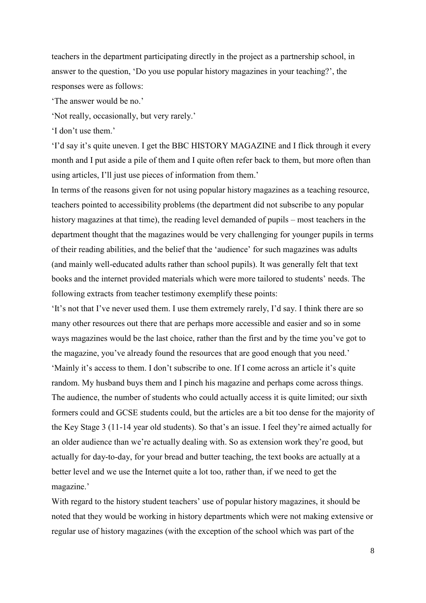teachers in the department participating directly in the project as a partnership school, in answer to the question, 'Do you use popular history magazines in your teaching?', the responses were as follows:

'The answer would be no.'

'Not really, occasionally, but very rarely.'

'I don't use them.'

'I'd say it's quite uneven. I get the BBC HISTORY MAGAZINE and I flick through it every month and I put aside a pile of them and I quite often refer back to them, but more often than using articles, I'll just use pieces of information from them.'

In terms of the reasons given for not using popular history magazines as a teaching resource, teachers pointed to accessibility problems (the department did not subscribe to any popular history magazines at that time), the reading level demanded of pupils – most teachers in the department thought that the magazines would be very challenging for younger pupils in terms of their reading abilities, and the belief that the 'audience' for such magazines was adults (and mainly well-educated adults rather than school pupils). It was generally felt that text books and the internet provided materials which were more tailored to students' needs. The following extracts from teacher testimony exemplify these points:

'It's not that I've never used them. I use them extremely rarely, I'd say. I think there are so many other resources out there that are perhaps more accessible and easier and so in some ways magazines would be the last choice, rather than the first and by the time you've got to the magazine, you've already found the resources that are good enough that you need.' 'Mainly it's access to them. I don't subscribe to one. If I come across an article it's quite random. My husband buys them and I pinch his magazine and perhaps come across things. The audience, the number of students who could actually access it is quite limited; our sixth formers could and GCSE students could, but the articles are a bit too dense for the majority of the Key Stage 3 (11-14 year old students). So that's an issue. I feel they're aimed actually for an older audience than we're actually dealing with. So as extension work they're good, but actually for day-to-day, for your bread and butter teaching, the text books are actually at a better level and we use the Internet quite a lot too, rather than, if we need to get the magazine.'

With regard to the history student teachers' use of popular history magazines, it should be noted that they would be working in history departments which were not making extensive or regular use of history magazines (with the exception of the school which was part of the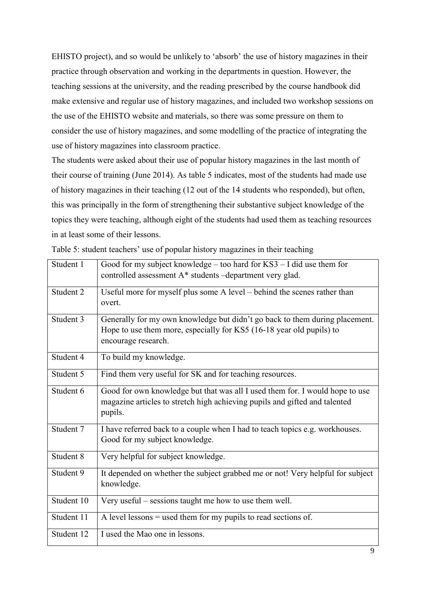EHISTO project), and so would be unlikely to 'absorb' the use of history magazines in their practice through observation and working in the departments in question. However, the teaching sessions at the university, and the reading prescribed by the course handbook did make extensive and regular use of history magazines, and included two workshop sessions on the use of the EHISTO website and materials, so there was some pressure on them to consider the use of history magazines, and some modelling of the practice of integrating the use of history magazines into classroom practice.

The students were asked about their use of popular history magazines in the last month of their course of training (June 2014). As table 5 indicates, most of the students had made use of history magazines in their teaching (12 out of the 14 students who responded), but often, this was principally in the form of strengthening their substantive subject knowledge of the topics they were teaching, although eight of the students had used them as teaching resources in at least some of their lessons.

| Student 1  | Good for my subject knowledge – too hard for $KS3 - I$ did use them for<br>controlled assessment A* students -department very glad.                                        |
|------------|----------------------------------------------------------------------------------------------------------------------------------------------------------------------------|
| Student 2  | Useful more for myself plus some A level – behind the scenes rather than<br>overt.                                                                                         |
| Student 3  | Generally for my own knowledge but didn't go back to them during placement.<br>Hope to use them more, especially for KS5 (16-18 year old pupils) to<br>encourage research. |
| Student 4  | To build my knowledge.                                                                                                                                                     |
| Student 5  | Find them very useful for SK and for teaching resources.                                                                                                                   |
| Student 6  | Good for own knowledge but that was all I used them for. I would hope to use<br>magazine articles to stretch high achieving pupils and gifted and talented<br>pupils.      |
| Student 7  | I have referred back to a couple when I had to teach topics e.g. workhouses.<br>Good for my subject knowledge.                                                             |
| Student 8  | Very helpful for subject knowledge.                                                                                                                                        |
| Student 9  | It depended on whether the subject grabbed me or not! Very helpful for subject<br>knowledge.                                                                               |
| Student 10 | Very useful – sessions taught me how to use them well.                                                                                                                     |
| Student 11 | A level lessons $=$ used them for my pupils to read sections of.                                                                                                           |
| Student 12 | I used the Mao one in lessons.                                                                                                                                             |

Table 5: student teachers' use of popular history magazines in their teaching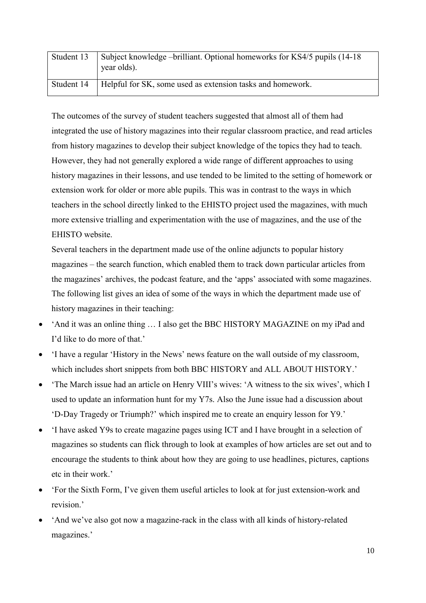| Student 13 | Subject knowledge – brilliant. Optional homeworks for KS4/5 pupils (14-18)<br>year olds). |
|------------|-------------------------------------------------------------------------------------------|
| Student 14 | Helpful for SK, some used as extension tasks and homework.                                |

The outcomes of the survey of student teachers suggested that almost all of them had integrated the use of history magazines into their regular classroom practice, and read articles from history magazines to develop their subject knowledge of the topics they had to teach. However, they had not generally explored a wide range of different approaches to using history magazines in their lessons, and use tended to be limited to the setting of homework or extension work for older or more able pupils. This was in contrast to the ways in which teachers in the school directly linked to the EHISTO project used the magazines, with much more extensive trialling and experimentation with the use of magazines, and the use of the EHISTO website.

Several teachers in the department made use of the online adjuncts to popular history magazines – the search function, which enabled them to track down particular articles from the magazines' archives, the podcast feature, and the 'apps' associated with some magazines. The following list gives an idea of some of the ways in which the department made use of history magazines in their teaching:

- 'And it was an online thing … I also get the BBC HISTORY MAGAZINE on my iPad and I'd like to do more of that.'
- 'I have a regular 'History in the News' news feature on the wall outside of my classroom, which includes short snippets from both BBC HISTORY and ALL ABOUT HISTORY.'
- 'The March issue had an article on Henry VIII's wives: 'A witness to the six wives', which I used to update an information hunt for my Y7s. Also the June issue had a discussion about 'D-Day Tragedy or Triumph?' which inspired me to create an enquiry lesson for Y9.'
- 'I have asked Y9s to create magazine pages using ICT and I have brought in a selection of magazines so students can flick through to look at examples of how articles are set out and to encourage the students to think about how they are going to use headlines, pictures, captions etc in their work.'
- 'For the Sixth Form, I've given them useful articles to look at for just extension-work and revision.'
- 'And we've also got now a magazine-rack in the class with all kinds of history-related magazines.'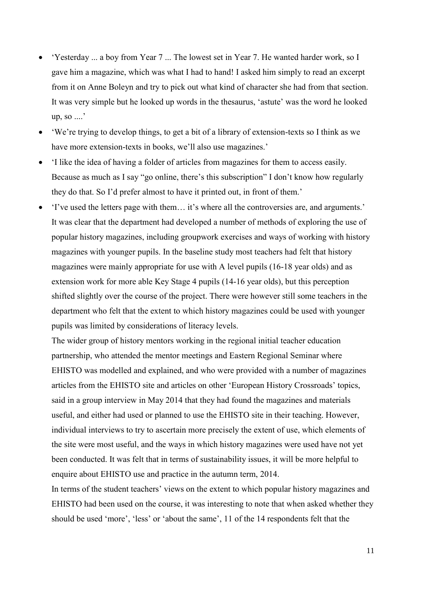- 'Yesterday ... a boy from Year 7 ... The lowest set in Year 7. He wanted harder work, so I gave him a magazine, which was what I had to hand! I asked him simply to read an excerpt from it on Anne Boleyn and try to pick out what kind of character she had from that section. It was very simple but he looked up words in the thesaurus, 'astute' was the word he looked up, so ....'
- 'We're trying to develop things, to get a bit of a library of extension-texts so I think as we have more extension-texts in books, we'll also use magazines.'
- 'I like the idea of having a folder of articles from magazines for them to access easily. Because as much as I say "go online, there's this subscription" I don't know how regularly they do that. So I'd prefer almost to have it printed out, in front of them.'
- 'I've used the letters page with them… it's where all the controversies are, and arguments.' It was clear that the department had developed a number of methods of exploring the use of popular history magazines, including groupwork exercises and ways of working with history magazines with younger pupils. In the baseline study most teachers had felt that history magazines were mainly appropriate for use with A level pupils (16-18 year olds) and as extension work for more able Key Stage 4 pupils (14-16 year olds), but this perception shifted slightly over the course of the project. There were however still some teachers in the department who felt that the extent to which history magazines could be used with younger pupils was limited by considerations of literacy levels.

The wider group of history mentors working in the regional initial teacher education partnership, who attended the mentor meetings and Eastern Regional Seminar where EHISTO was modelled and explained, and who were provided with a number of magazines articles from the EHISTO site and articles on other 'European History Crossroads' topics, said in a group interview in May 2014 that they had found the magazines and materials useful, and either had used or planned to use the EHISTO site in their teaching. However, individual interviews to try to ascertain more precisely the extent of use, which elements of the site were most useful, and the ways in which history magazines were used have not yet been conducted. It was felt that in terms of sustainability issues, it will be more helpful to enquire about EHISTO use and practice in the autumn term, 2014.

In terms of the student teachers' views on the extent to which popular history magazines and EHISTO had been used on the course, it was interesting to note that when asked whether they should be used 'more', 'less' or 'about the same', 11 of the 14 respondents felt that the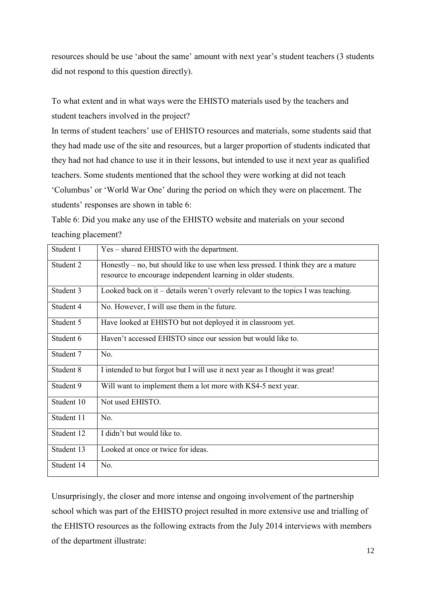resources should be use 'about the same' amount with next year's student teachers (3 students did not respond to this question directly).

To what extent and in what ways were the EHISTO materials used by the teachers and student teachers involved in the project?

In terms of student teachers' use of EHISTO resources and materials, some students said that they had made use of the site and resources, but a larger proportion of students indicated that they had not had chance to use it in their lessons, but intended to use it next year as qualified teachers. Some students mentioned that the school they were working at did not teach 'Columbus' or 'World War One' during the period on which they were on placement. The students' responses are shown in table 6:

Table 6: Did you make any use of the EHISTO website and materials on your second teaching placement?

| Student 1  | Yes – shared EHISTO with the department.                                             |
|------------|--------------------------------------------------------------------------------------|
| Student 2  | Honestly $-$ no, but should like to use when less pressed. I think they are a mature |
|            | resource to encourage independent learning in older students.                        |
| Student 3  | Looked back on it – details weren't overly relevant to the topics I was teaching.    |
| Student 4  | No. However, I will use them in the future.                                          |
| Student 5  | Have looked at EHISTO but not deployed it in classroom yet.                          |
| Student 6  | Haven't accessed EHISTO since our session but would like to.                         |
| Student 7  | No.                                                                                  |
| Student 8  | I intended to but forgot but I will use it next year as I thought it was great!      |
| Student 9  | Will want to implement them a lot more with KS4-5 next year.                         |
| Student 10 | Not used EHISTO.                                                                     |
| Student 11 | No.                                                                                  |
| Student 12 | I didn't but would like to.                                                          |
| Student 13 | Looked at once or twice for ideas.                                                   |
| Student 14 | No.                                                                                  |

Unsurprisingly, the closer and more intense and ongoing involvement of the partnership school which was part of the EHISTO project resulted in more extensive use and trialling of the EHISTO resources as the following extracts from the July 2014 interviews with members of the department illustrate: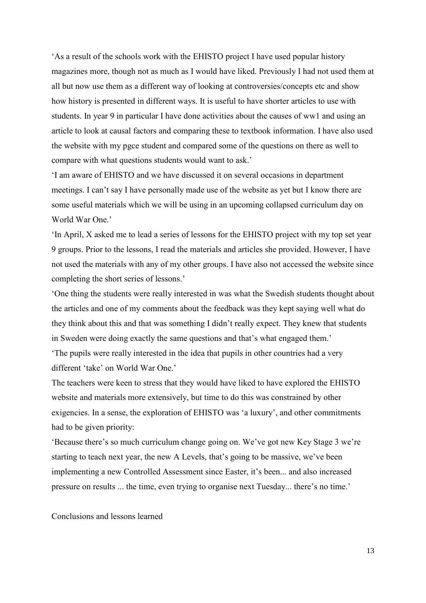'As a result of the schools work with the EHISTO project I have used popular history magazines more, though not as much as I would have liked. Previously I had not used them at all but now use them as a different way of looking at controversies/concepts etc and show how history is presented in different ways. It is useful to have shorter articles to use with students. In year 9 in particular I have done activities about the causes of ww1 and using an article to look at causal factors and comparing these to textbook information. I have also used the website with my pgce student and compared some of the questions on there as well to compare with what questions students would want to ask.'

'I am aware of EHISTO and we have discussed it on several occasions in department meetings. I can't say I have personally made use of the website as yet but I know there are some useful materials which we will be using in an upcoming collapsed curriculum day on World War One<sup>'</sup>

'In April, X asked me to lead a series of lessons for the EHISTO project with my top set year 9 groups. Prior to the lessons, I read the materials and articles she provided. However, I have not used the materials with any of my other groups. I have also not accessed the website since completing the short series of lessons.'

'One thing the students were really interested in was what the Swedish students thought about the articles and one of my comments about the feedback was they kept saying well what do they think about this and that was something I didn't really expect. They knew that students in Sweden were doing exactly the same questions and that's what engaged them.'

'The pupils were really interested in the idea that pupils in other countries had a very different 'take' on World War One.'

The teachers were keen to stress that they would have liked to have explored the EHISTO website and materials more extensively, but time to do this was constrained by other exigencies. In a sense, the exploration of EHISTO was 'a luxury', and other commitments had to be given priority:

'Because there's so much curriculum change going on. We've got new Key Stage 3 we're starting to teach next year, the new A Levels, that's going to be massive, we've been implementing a new Controlled Assessment since Easter, it's been... and also increased pressure on results ... the time, even trying to organise next Tuesday... there's no time.'

Conclusions and lessons learned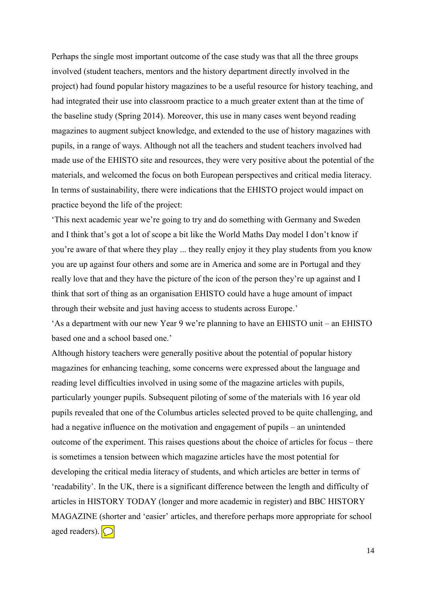Perhaps the single most important outcome of the case study was that all the three groups involved (student teachers, mentors and the history department directly involved in the project) had found popular history magazines to be a useful resource for history teaching, and had integrated their use into classroom practice to a much greater extent than at the time of the baseline study (Spring 2014). Moreover, this use in many cases went beyond reading magazines to augment subject knowledge, and extended to the use of history magazines with pupils, in a range of ways. Although not all the teachers and student teachers involved had made use of the EHISTO site and resources, they were very positive about the potential of the materials, and welcomed the focus on both European perspectives and critical media literacy. In terms of sustainability, there were indications that the EHISTO project would impact on practice beyond the life of the project:

'This next academic year we're going to try and do something with Germany and Sweden and I think that's got a lot of scope a bit like the World Maths Day model I don't know if you're aware of that where they play ... they really enjoy it they play students from you know you are up against four others and some are in America and some are in Portugal and they really love that and they have the picture of the icon of the person they're up against and I think that sort of thing as an organisation EHISTO could have a huge amount of impact through their website and just having access to students across Europe.'

'As a department with our new Year 9 we're planning to have an EHISTO unit – an EHISTO based one and a school based one.'

Although history teachers were generally positive about the potential of popular history magazines for enhancing teaching, some concerns were expressed about the language and reading level difficulties involved in using some of the magazine articles with pupils, particularly younger pupils. Subsequent piloting of some of the materials with 16 year old pupils revealed that one of the Columbus articles selected proved to be quite challenging, and had a negative influence on the motivation and engagement of pupils – an unintended outcome of the experiment. This raises questions about the choice of articles for focus – there is sometimes a tension between which magazine articles have the most potential for developing the critical media literacy of students, and which articles are better in terms of 'readability'. In the UK, there is a significant difference between the length and difficulty of articles in HISTORY TODAY (longer and more academic in register) and BBC HISTORY MAGAZINE (shorter and 'easier' articles, and therefore perhaps more appropriate for school aged readers).  $\bigcirc$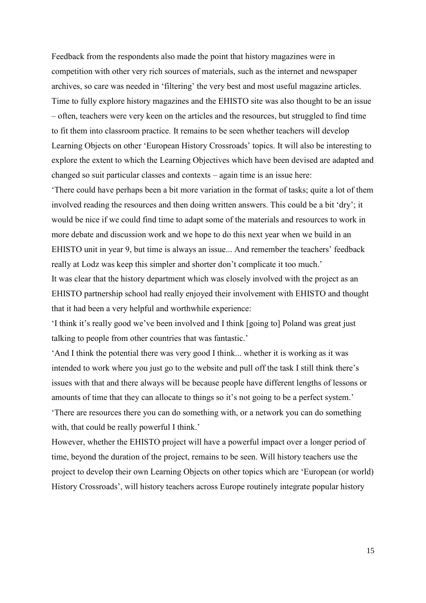Feedback from the respondents also made the point that history magazines were in competition with other very rich sources of materials, such as the internet and newspaper archives, so care was needed in 'filtering' the very best and most useful magazine articles. Time to fully explore history magazines and the EHISTO site was also thought to be an issue – often, teachers were very keen on the articles and the resources, but struggled to find time to fit them into classroom practice. It remains to be seen whether teachers will develop Learning Objects on other 'European History Crossroads' topics. It will also be interesting to explore the extent to which the Learning Objectives which have been devised are adapted and changed so suit particular classes and contexts – again time is an issue here:

'There could have perhaps been a bit more variation in the format of tasks; quite a lot of them involved reading the resources and then doing written answers. This could be a bit 'dry'; it would be nice if we could find time to adapt some of the materials and resources to work in more debate and discussion work and we hope to do this next year when we build in an EHISTO unit in year 9, but time is always an issue... And remember the teachers' feedback really at Lodz was keep this simpler and shorter don't complicate it too much.'

It was clear that the history department which was closely involved with the project as an EHISTO partnership school had really enjoyed their involvement with EHISTO and thought that it had been a very helpful and worthwhile experience:

'I think it's really good we've been involved and I think [going to] Poland was great just talking to people from other countries that was fantastic.'

'And I think the potential there was very good I think... whether it is working as it was intended to work where you just go to the website and pull off the task I still think there's issues with that and there always will be because people have different lengths of lessons or amounts of time that they can allocate to things so it's not going to be a perfect system.' 'There are resources there you can do something with, or a network you can do something with, that could be really powerful I think.'

However, whether the EHISTO project will have a powerful impact over a longer period of time, beyond the duration of the project, remains to be seen. Will history teachers use the project to develop their own Learning Objects on other topics which are 'European (or world) History Crossroads', will history teachers across Europe routinely integrate popular history

15